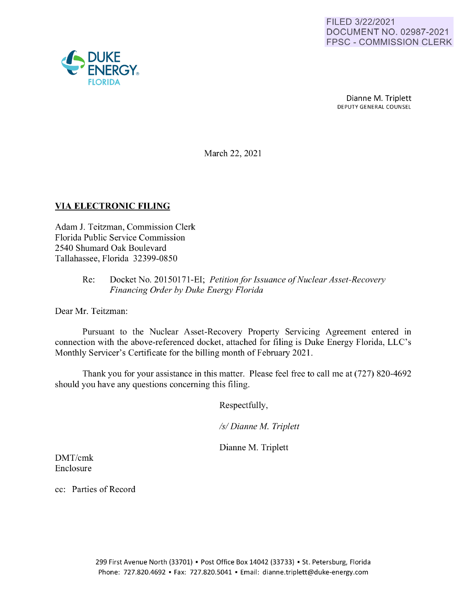

March 22, 2021

## **VIA ELECTRONIC FILING**

Adam J. Teitzman, Commission Clerk Florida Public Service Commission 2540 Shumard Oak Boulevard Tallahassee, Florida 32399-0850

## Re: Docket No. 20150171-EI; *Petition for Issuance of Nuclear Asset-Recovery Financing Order by Duke Energy Florida*

Dear Mr. Teitzman:

Pursuant to the Nuclear Asset-Recovery Property Servicing Agreement entered in connection with the above-referenced docket, attached for filing is Duke Energy Florida, LLC's Monthly Servicer's Certificate for the billing month of February 2021.

Thank you for your assistance in this matter. Please feel free to call me at (727) 820-4692 should you have any questions concerning this filing.

Respectfully,

*Isl Dianne M Triplett* 

Dianne M. Triplett

DMT/crnk Enclosure

cc: Parties of Record

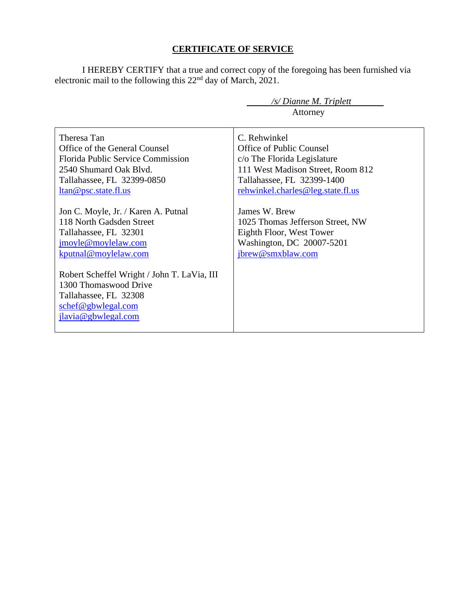## **CERTIFICATE OF SERVICE**

I HEREBY CERTIFY that a true and correct copy of the foregoing has been furnished via electronic mail to the following this  $22<sup>nd</sup>$  day of March, 2021.

 */s/ Dianne M. Triplett*

|                                                                                                                                            | Attorney                          |
|--------------------------------------------------------------------------------------------------------------------------------------------|-----------------------------------|
| Theresa Tan                                                                                                                                | C. Rehwinkel                      |
| Office of the General Counsel                                                                                                              | Office of Public Counsel          |
| <b>Florida Public Service Commission</b>                                                                                                   | c/o The Florida Legislature       |
| 2540 Shumard Oak Blyd.                                                                                                                     | 111 West Madison Street, Room 812 |
| Tallahassee, FL 32399-0850                                                                                                                 | Tallahassee, FL 32399-1400        |
| <u>ltan@psc.state.fl.us</u>                                                                                                                | rehwinkel.charles@leg.state.fl.us |
| Jon C. Moyle, Jr. / Karen A. Putnal                                                                                                        | James W. Brew                     |
| 118 North Gadsden Street                                                                                                                   | 1025 Thomas Jefferson Street, NW  |
| Tallahassee, FL 32301                                                                                                                      | Eighth Floor, West Tower          |
| jmoyle@moylelaw.com                                                                                                                        | Washington, DC 20007-5201         |
| kputnal@moylelaw.com                                                                                                                       | jbrew@smxblaw.com                 |
| Robert Scheffel Wright / John T. LaVia, III<br>1300 Thomaswood Drive<br>Tallahassee, FL 32308<br>schef@gbwlegal.com<br>jlavia@gbwlegal.com |                                   |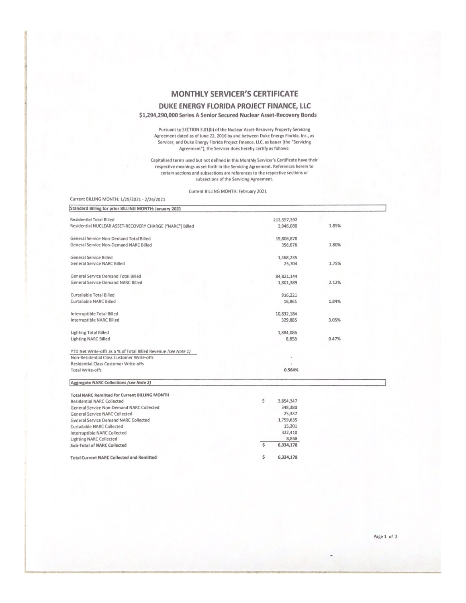## **MONTHLY SERVICER'S CERTIFICATE** DUKE ENERGY FLORIDA PROJECT FINANCE, LLC \$1,294,290,000 Series A Senior Secured Nuclear Asset-Recovery Bonds

Pursuant to SECTION 3.01(b) of the Nuclear Asset-Recovery Property Servicing Agreement dated as of June 22, 2016 by and between Duke Energy Florida, Inc., as<br>Servicer, and Duke Energy Florida Project Finance, LLC, as Issuer (the "Servicing Agreement"), the Servicer does hereby certify as follows:

Capitalized terms used but not defined in this Monthly Servicer's Certificate have their respective meanings as set forth in the Servicing Agreement. References herein to certain sections and subsections are references to the respective sections or subsections of the Servicing Agreement.

Current BILLING MONTH: February 2021

| Current BILLING MONTH: 1/29/2021 - 2/26/2021                   |                 |       |  |
|----------------------------------------------------------------|-----------------|-------|--|
| Standard Billing for prior BILLING MONTH: January 2021         |                 |       |  |
| <b>Residential Total Billed</b>                                | 213,557,392     |       |  |
| Residential NUCLEAR ASSET-RECOVERY CHARGE ("NARC") Billed      | 3,946,080       | 1.85% |  |
| General Service Non-Demand Total Billed                        | 19,808,870      |       |  |
| General Service Non-Demand NARC Billed                         | 356,676         | 1.80% |  |
| General Service Billed                                         | 1,468,235       |       |  |
| General Service NARC Billed                                    | 25,704          | 1.75% |  |
| General Service Demand Total Billed                            | 84, 821, 144    |       |  |
| General Service Demand NARC Billed                             | 1,801,389       | 2.12% |  |
| Curtailable Total Billed                                       | 916,221         |       |  |
| Curtailable NARC Billed                                        | 16,861          | 1.84% |  |
| Interruptible Total Billed                                     | 10,832,184      |       |  |
| <b>Interruptible NARC Billed</b>                               | 329,885         | 3.05% |  |
| <b>Lighting Total Billed</b>                                   | 1,884,086       |       |  |
| <b>Lighting NARC Billed</b>                                    | 8,858           | 0.47% |  |
| YTD Net Write-offs as a % of Total Billed Revenue (see Note 1) |                 |       |  |
| Non-Residential Class Customer Write-offs                      |                 |       |  |
| <b>Residential Class Customer Write-offs</b>                   |                 |       |  |
| <b>Total Write-offs</b>                                        | 0.564%          |       |  |
| Aggregate NARC Collections (see Note 2)                        |                 |       |  |
| <b>Total NARC Remitted for Current BILLING MONTH</b>           |                 |       |  |
| <b>Residential NARC Collected</b>                              | \$<br>3,854,347 |       |  |
| General Service Non-Demand NARC Collected                      | 348,380         |       |  |
| <b>General Service NARC Collected</b>                          | 25,337          |       |  |
| <b>General Service Demand NARC Collected</b>                   | 1,759,635       |       |  |
| Curtailable NARC Collected                                     | 15,201          |       |  |

322,410

6,334,178

6,334,178

 $\overline{s}$ 

\$

8,868

**Total Current NARC Collected and Remitted** 

Interruptible NARC Collected

Sub-Total of NARC Collected

**Lighting NARC Collected** 

Page 1 of 2